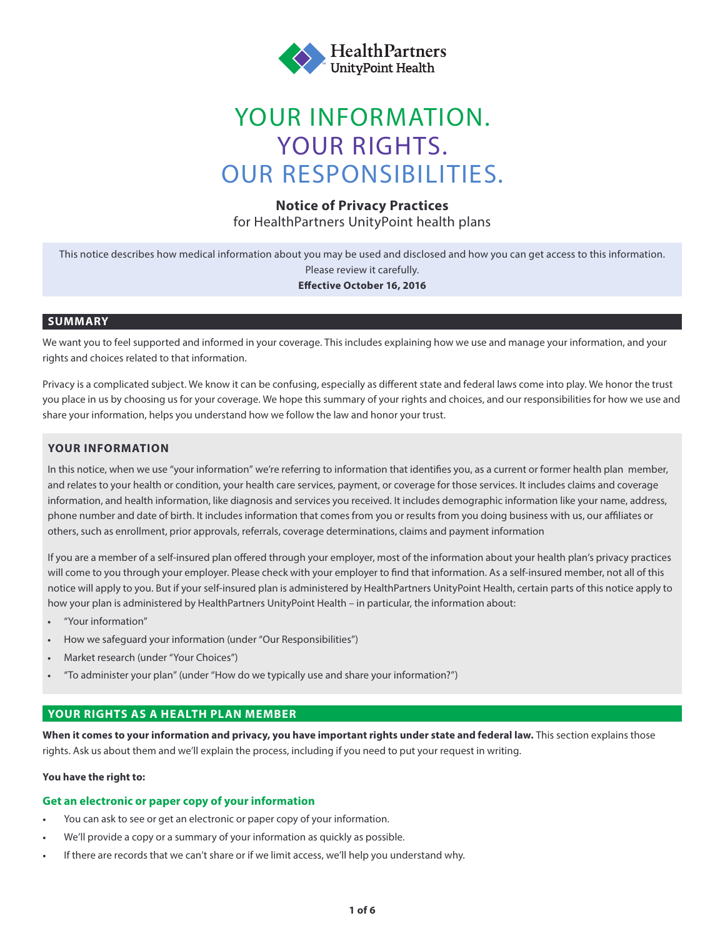

# YOUR INFORMATION. YOUR RIGHTS. OUR RESPONSIBILITIES.

## **Notice of Privacy Practices**

for HealthPartners UnityPoint health plans

This notice describes how medical information about you may be used and disclosed and how you can get access to this information. Please review it carefully.

#### **Effective October 16, 2016**

#### **SUMMARY**

We want you to feel supported and informed in your coverage. This includes explaining how we use and manage your information, and your rights and choices related to that information.

Privacy is a complicated subject. We know it can be confusing, especially as different state and federal laws come into play. We honor the trust you place in us by choosing us for your coverage. We hope this summary of your rights and choices, and our responsibilities for how we use and share your information, helps you understand how we follow the law and honor your trust.

#### **YOUR INFORMATION**

In this notice, when we use "your information" we're referring to information that identifies you, as a current or former health plan member, and relates to your health or condition, your health care services, payment, or coverage for those services. It includes claims and coverage information, and health information, like diagnosis and services you received. It includes demographic information like your name, address, phone number and date of birth. It includes information that comes from you or results from you doing business with us, our affiliates or others, such as enrollment, prior approvals, referrals, coverage determinations, claims and payment information

If you are a member of a self-insured plan offered through your employer, most of the information about your health plan's privacy practices will come to you through your employer. Please check with your employer to find that information. As a self-insured member, not all of this notice will apply to you. But if your self-insured plan is administered by HealthPartners UnityPoint Health, certain parts of this notice apply to how your plan is administered by HealthPartners UnityPoint Health – in particular, the information about:

- "Your information"
- How we safeguard your information (under "Our Responsibilities")
- Market research (under "Your Choices")
- "To administer your plan" (under "How do we typically use and share your information?")

#### **YOUR RIGHTS AS A HEALTH PLAN MEMBER**

**When it comes to your information and privacy, you have important rights under state and federal law.** This section explains those rights. Ask us about them and we'll explain the process, including if you need to put your request in writing.

#### **You have the right to:**

#### **Get an electronic or paper copy of your information**

- You can ask to see or get an electronic or paper copy of your information.
- We'll provide a copy or a summary of your information as quickly as possible.
- If there are records that we can't share or if we limit access, we'll help you understand why.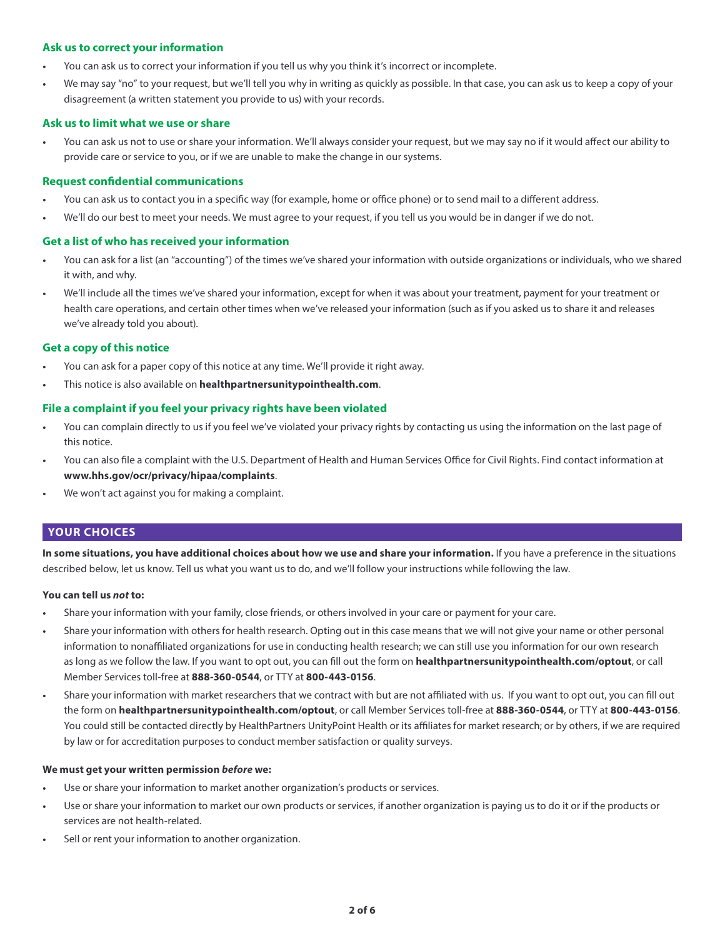#### **Ask us to correct your information**

- You can ask us to correct your information if you tell us why you think it's incorrect or incomplete.
- We may say "no" to your request, but we'll tell you why in writing as quickly as possible. In that case, you can ask us to keep a copy of your disagreement (a written statement you provide to us) with your records.

#### **Ask us to limit what we use or share**

• You can ask us not to use or share your information. We'll always consider your request, but we may say no if it would affect our ability to provide care or service to you, or if we are unable to make the change in our systems.

#### **Request confidential communications**

- You can ask us to contact you in a specific way (for example, home or office phone) or to send mail to a different address.
- We'll do our best to meet your needs. We must agree to your request, if you tell us you would be in danger if we do not.

#### **Get a list of who has received your information**

- You can ask for a list (an "accounting") of the times we've shared your information with outside organizations or individuals, who we shared it with, and why.
- We'll include all the times we've shared your information, except for when it was about your treatment, payment for your treatment or health care operations, and certain other times when we've released your information (such as if you asked us to share it and releases we've already told you about).

#### **Get a copy of this notice**

- You can ask for a paper copy of this notice at any time. We'll provide it right away.
- This notice is also available on **healthpartnersunitypointhealth.com**.

#### **File a complaint if you feel your privacy rights have been violated**

- You can complain directly to us if you feel we've violated your privacy rights by contacting us using the information on the last page of this notice.
- You can also file a complaint with the U.S. Department of Health and Human Services Office for Civil Rights. Find contact information at **www.hhs.gov/ocr/privacy/hipaa/complaints**.
- We won't act against you for making a complaint.

#### **YOUR CHOICES**

**In some situations, you have additional choices about how we use and share your information.** If you have a preference in the situations described below, let us know. Tell us what you want us to do, and we'll follow your instructions while following the law.

#### **You can tell us** *not* **to:**

- Share your information with your family, close friends, or others involved in your care or payment for your care.
- Share your information with others for health research. Opting out in this case means that we will not give your name or other personal information to nonaffiliated organizations for use in conducting health research; we can still use you information for our own research as long as we follow the law. If you want to opt out, you can fill out the form on **healthpartnersunitypointhealth.com/optout**, or call Member Services toll-free at **888-360-0544**, or TTY at **800-443-0156**.
- Share your information with market researchers that we contract with but are not affiliated with us. If you want to opt out, you can fill out the form on **healthpartnersunitypointhealth.com/optout**, or call Member Services toll-free at **888-360-0544**, or TTY at **800-443-0156**. You could still be contacted directly by HealthPartners UnityPoint Health or its affiliates for market research; or by others, if we are required by law or for accreditation purposes to conduct member satisfaction or quality surveys.

#### **We must get your written permission** *before* **we:**

- Use or share your information to market another organization's products or services.
- Use or share your information to market our own products or services, if another organization is paying us to do it or if the products or services are not health-related.
- Sell or rent your information to another organization.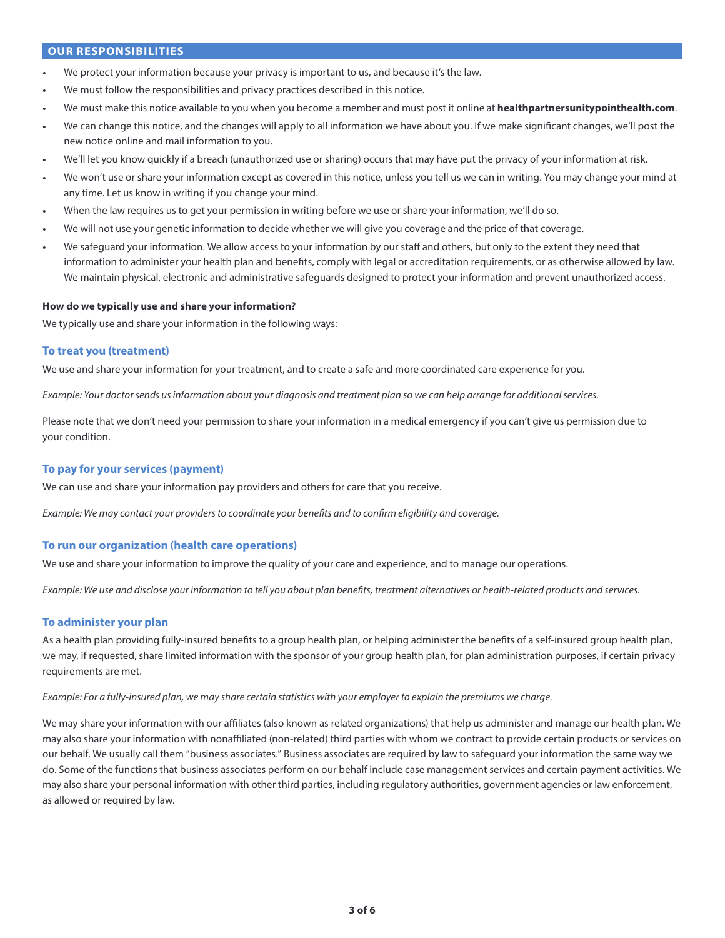#### **OUR RESPONSIBILITIES**

- We protect your information because your privacy is important to us, and because it's the law.
- We must follow the responsibilities and privacy practices described in this notice.
- We must make this notice available to you when you become a member and must post it online at **healthpartnersunitypointhealth.com**.
- We can change this notice, and the changes will apply to all information we have about you. If we make significant changes, we'll post the new notice online and mail information to you.
- We'll let you know quickly if a breach (unauthorized use or sharing) occurs that may have put the privacy of your information at risk.
- We won't use or share your information except as covered in this notice, unless you tell us we can in writing. You may change your mind at any time. Let us know in writing if you change your mind.
- When the law requires us to get your permission in writing before we use or share your information, we'll do so.
- We will not use your genetic information to decide whether we will give you coverage and the price of that coverage.
- We safeguard your information. We allow access to your information by our staff and others, but only to the extent they need that information to administer your health plan and benefits, comply with legal or accreditation requirements, or as otherwise allowed by law. We maintain physical, electronic and administrative safeguards designed to protect your information and prevent unauthorized access.

#### **How do we typically use and share your information?**

We typically use and share your information in the following ways:

#### **To treat you (treatment)**

We use and share your information for your treatment, and to create a safe and more coordinated care experience for you.

*Example: Your doctor sends us information about your diagnosis and treatment plan so we can help arrange for additional services.*

Please note that we don't need your permission to share your information in a medical emergency if you can't give us permission due to your condition.

#### **To pay for your services (payment)**

We can use and share your information pay providers and others for care that you receive.

*Example: We may contact your providers to coordinate your benefits and to confirm eligibility and coverage.*

#### **To run our organization (health care operations)**

We use and share your information to improve the quality of your care and experience, and to manage our operations.

*Example: We use and disclose your information to tell you about plan benefits, treatment alternatives or health-related products and services.*

#### **To administer your plan**

As a health plan providing fully-insured benefits to a group health plan, or helping administer the benefits of a self-insured group health plan, we may, if requested, share limited information with the sponsor of your group health plan, for plan administration purposes, if certain privacy requirements are met.

#### *Example: For a fully-insured plan, we may share certain statistics with your employer to explain the premiums we charge.*

We may share your information with our affiliates (also known as related organizations) that help us administer and manage our health plan. We may also share your information with nonaffiliated (non-related) third parties with whom we contract to provide certain products or services on our behalf. We usually call them "business associates." Business associates are required by law to safeguard your information the same way we do. Some of the functions that business associates perform on our behalf include case management services and certain payment activities. We may also share your personal information with other third parties, including regulatory authorities, government agencies or law enforcement, as allowed or required by law.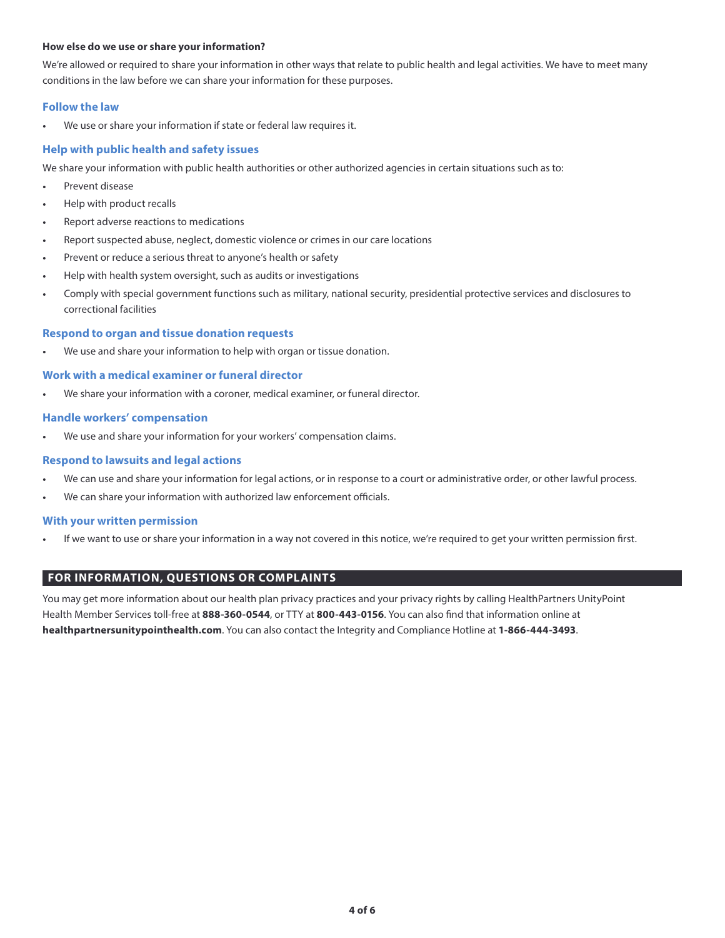#### **How else do we use or share your information?**

We're allowed or required to share your information in other ways that relate to public health and legal activities. We have to meet many conditions in the law before we can share your information for these purposes.

#### **Follow the law**

We use or share your information if state or federal law requires it.

#### **Help with public health and safety issues**

We share your information with public health authorities or other authorized agencies in certain situations such as to:

- Prevent disease
- Help with product recalls
- Report adverse reactions to medications
- Report suspected abuse, neglect, domestic violence or crimes in our care locations
- Prevent or reduce a serious threat to anyone's health or safety
- Help with health system oversight, such as audits or investigations
- Comply with special government functions such as military, national security, presidential protective services and disclosures to correctional facilities

#### **Respond to organ and tissue donation requests**

We use and share your information to help with organ or tissue donation.

#### **Work with a medical examiner or funeral director**

We share your information with a coroner, medical examiner, or funeral director.

#### **Handle workers' compensation**

We use and share your information for your workers' compensation claims.

#### **Respond to lawsuits and legal actions**

- We can use and share your information for legal actions, or in response to a court or administrative order, or other lawful process.
- We can share your information with authorized law enforcement officials.

#### **With your written permission**

If we want to use or share your information in a way not covered in this notice, we're required to get your written permission first.

#### **FOR INFORMATION, QUESTIONS OR COMPLAINTS**

You may get more information about our health plan privacy practices and your privacy rights by calling HealthPartners UnityPoint Health Member Services toll-free at **888-360-0544**, or TTY at **800-443-0156**. You can also find that information online at **healthpartnersunitypointhealth.com**. You can also contact the Integrity and Compliance Hotline at **1-866-444-3493**.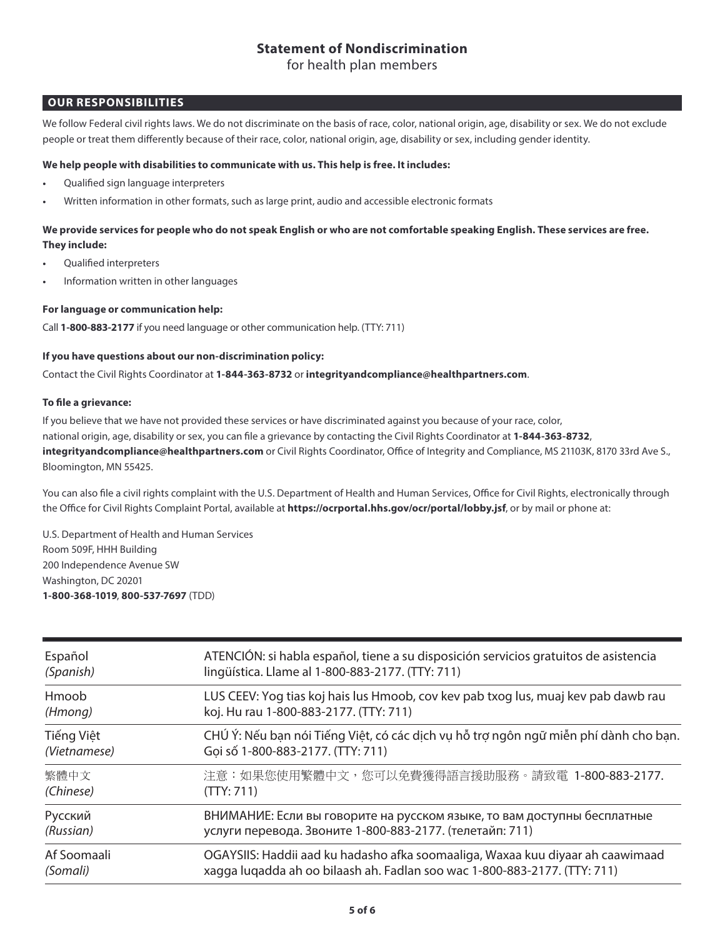## **Statement of Nondiscrimination**

for health plan members

## **OUR RESPONSIBILITIES**

We follow Federal civil rights laws. We do not discriminate on the basis of race, color, national origin, age, disability or sex. We do not exclude people or treat them differently because of their race, color, national origin, age, disability or sex, including gender identity.<br>

## We help people with disabilities to communicate with us. This help is free. It includes<mark>:</mark>

- **•** Qualified sign language interpreters **the basis of race, color, national original origin, age, disability of race, color, national origin, age, disability of race, color, national origin, age, disability of**  $\alpha$
- Written information in other formats, such as large print, audio and accessible electronic formats

## We provide services for people who do not speak English or who are not comfortable speaking English. These services are free.<br>— **They include:**

- Qualified interpreters • • **Qualified interpreters**
- **Information written in other languages** *measurement* **who does not speak English or who does not speak Englishers**

### For language or communication help: **•** Communication neip.

Call **1-800-883-2177** if you need language or other communication help. (TTY: 711)

## If you have questions about our non-discrimination policy:

contact the Civil Rights Coordinator at **1-844-363-8732** or **integrityandcompliance@healthpartners.com**.

#### **To file a grievance:** Contact the Civil Rights Coordinator at 1-844-363-8732 or integrityand compliance at 1-844-363-8732 or integrityand

If you believe that we have not provided these services or have discriminated against you because of your race, color,<br>The Total Collection of the Color and Collection of the Collection of the Collection of the Collection national origin, age, disability or sex, you can file a grievance by contacting the Civil Rights Coordinator at **1-844-363-8732**, If you believe that we have not provided these services or have discriminated against you because of your race, **integrityandcompliance@healthpartners.com** or Civil Rights Coordinator, Office of Integrity and Compliance, MS 21103K, 8170 33rd Ave S.,<br>Ristrict of Materias Bloomington, MN 55425. 1-844-363-8732, integrityandcompliance@healthpartners.com or Civil Rights Coordinator, Office of Integrity and

You can also file a civil rights complaint with the U.S. Department of Health and Human Services, Office for Civil Rights, electronically through the Office for Civil Rights Complaint Portal, available at **https://ocrportal.hhs.gov/ocr/portal/lobby.jsf**, or by mail or phone at:

U.S. Department of Health and Human Services<br>Proto Fast Ullians of the Room 509F, HHH Building 200 Independence Avenue SW Washington, DC 20201 1-800-368-1019, 800-537-7697 (TDD) Rights, electronically through the Office for Civil Rights Complaint Portal, available at https://ocrportal.hhs.gov/ocr/

| Español      | ATENCIÓN: si habla español, tiene a su disposición servicios gratuitos de asistencia |
|--------------|--------------------------------------------------------------------------------------|
| (Spanish)    | lingüística. Llame al 1-800-883-2177. (TTY: 711)                                     |
| Hmoob        | LUS CEEV: Yog tias koj hais lus Hmoob, cov kev pab txog lus, muaj kev pab dawb rau   |
| (Hmong)      | koj. Hu rau 1-800-883-2177. (TTY: 711)                                               |
| Tiếng Việt   | CHÚ Ý: Nếu bạn nói Tiếng Việt, có các dịch vụ hỗ trợ ngôn ngữ miễn phí dành cho bạn. |
| (Vietnamese) | Goi số 1-800-883-2177. (TTY: 711)                                                    |
| 繁體中文         | 注意:如果您使用繁體中文,您可以免費獲得語言援助服務。請致電 1-800-883-2177.                                       |
| (Chinese)    | (TTY: 711)                                                                           |
| Русский      | ВНИМАНИЕ: Если вы говорите на русском языке, то вам доступны бесплатные              |
| (Russian)    | услуги перевода. Звоните 1-800-883-2177. (телетайп: 711)                             |
| Af Soomaali  | OGAYSIIS: Haddii aad ku hadasho afka soomaaliga, Waxaa kuu diyaar ah caawimaad       |
| (Somali)     | xagga luqadda ah oo bilaash ah. Fadlan soo wac 1-800-883-2177. (TTY: 711)            |